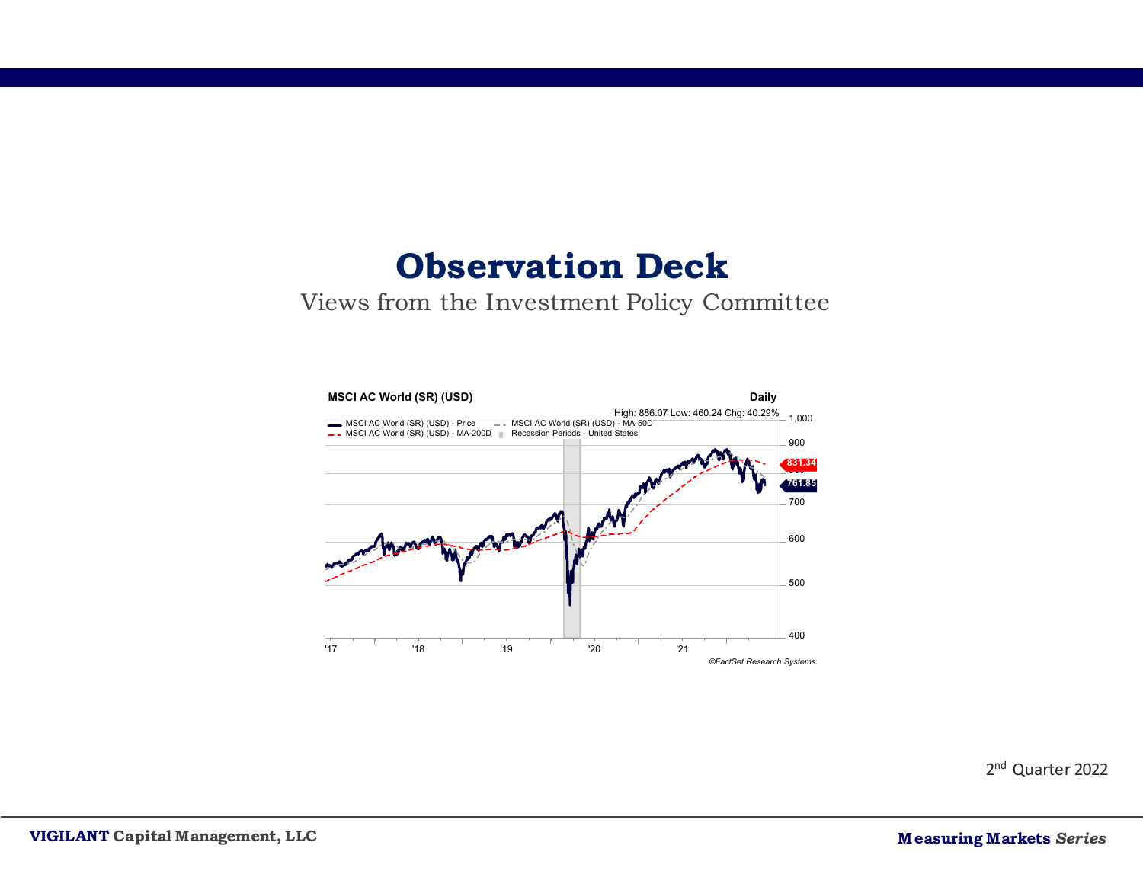# **Observation Deck**

#### Views from the Investment Policy Committee



2nd Quarter 2022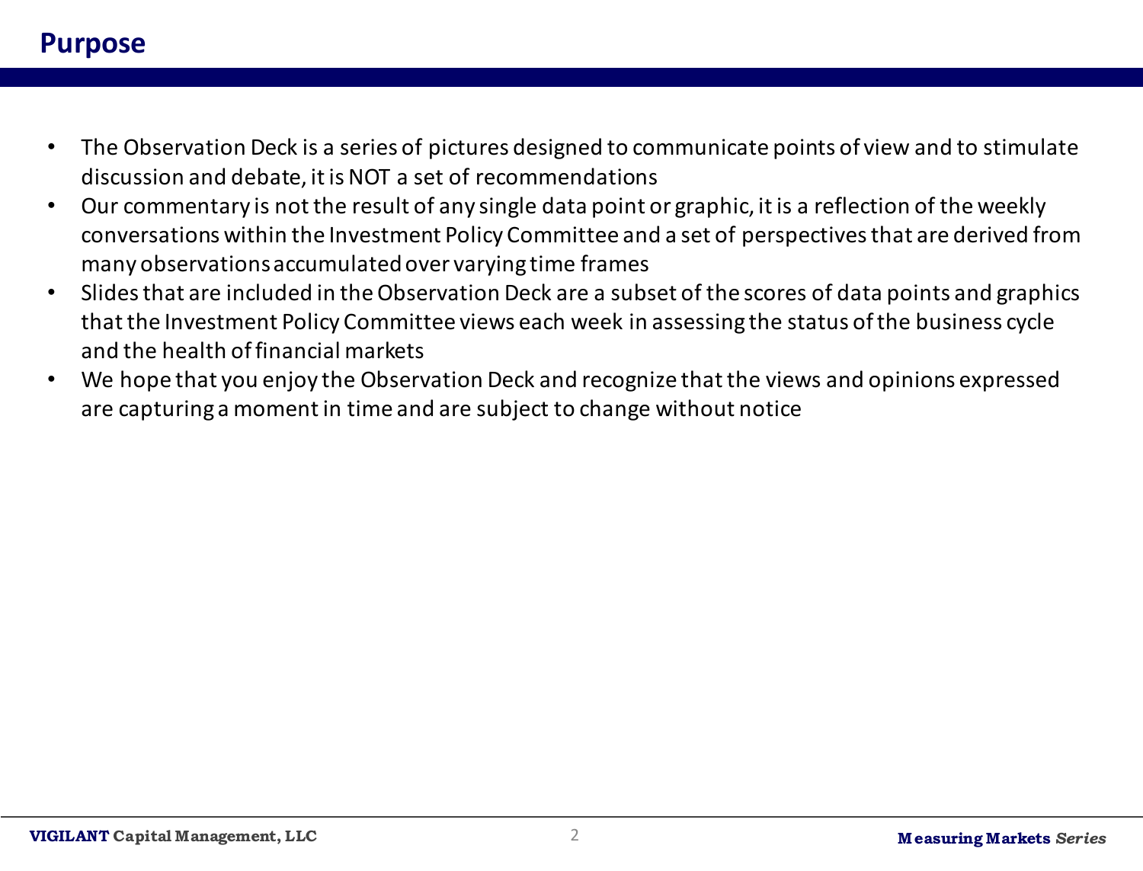#### **Purpose**

- The Observation Deck is a series of pictures designed to communicate points of view and to stimulate discussion and debate, it is NOT a set of recommendations
- Our commentary is not the result of any single data point or graphic, it is a reflection of the weekly conversations within the Investment Policy Committee and a set of perspectives that are derived from many observations accumulated over varying time frames
- Slides that are included in the Observation Deck are a subset of the scores of data points and graphics that the Investment Policy Committee views each week in assessing the status of the business cycle and the health of financial markets
- We hope that you enjoy the Observation Deck and recognize that the views and opinions expressed are capturing a moment in time and are subject to change without notice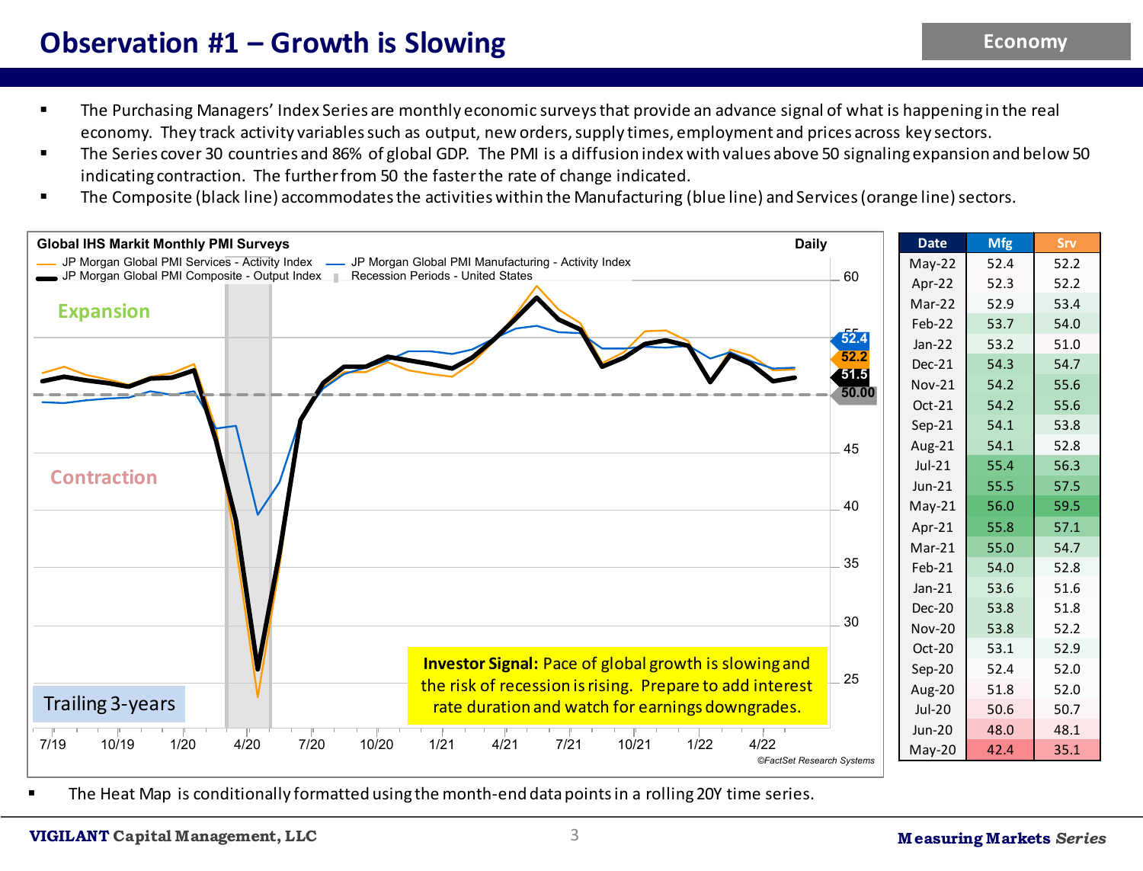#### **Observation #1 – Growth is Slowing**

- The Purchasing Managers' Index Series are monthly economic surveys that provide an advance signal of what is happening in the real economy. They track activity variables such as output, new orders, supply times, employment and prices across key sectors.
- The Series cover 30 countries and 86% of global GDP. The PMI is a diffusion index with values above 50 signaling expansion and below 50 indicating contraction. The further from 50 the faster the rate of change indicated.
- The Composite (black line) accommodates the activities within the Manufacturing (blue line) and Services (orange line) sectors.



The Heat Map is conditionally formatted using the month-end data points in a rolling 20Y time series.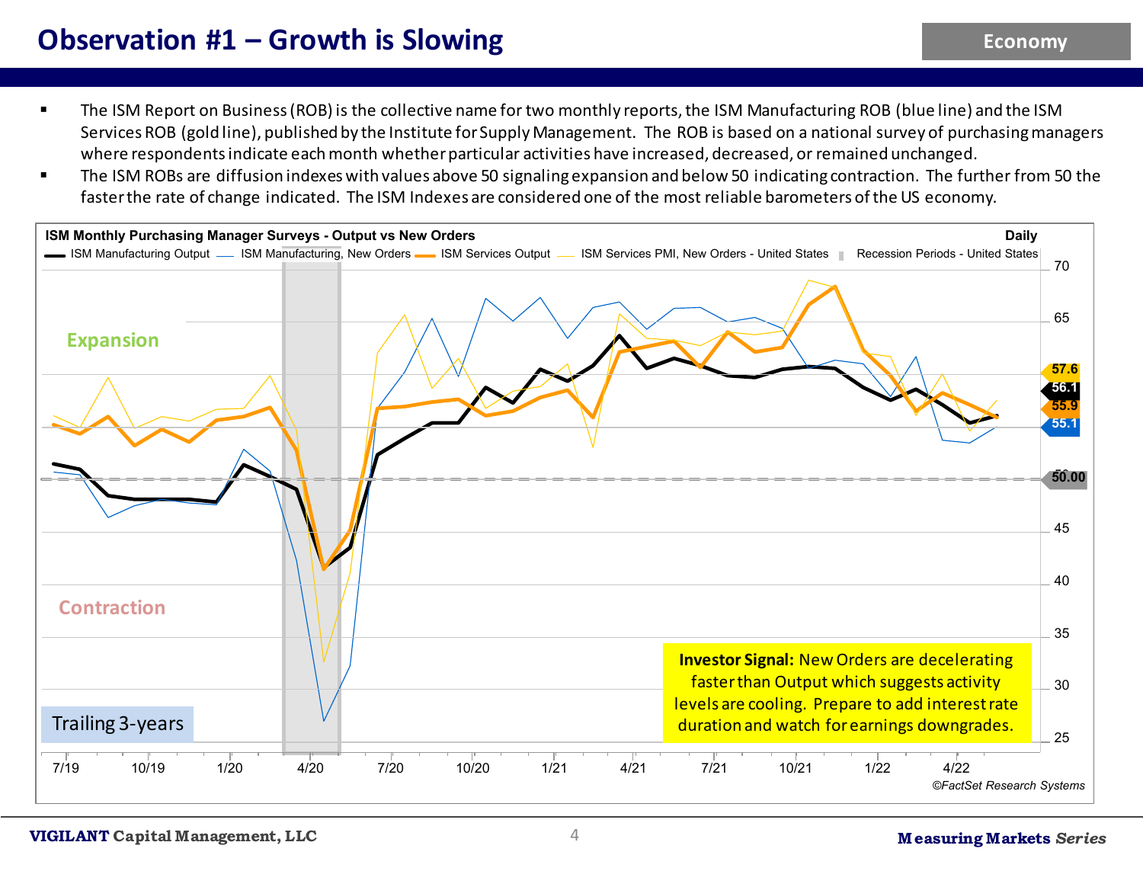## **Observation #1 – Growth is Slowing**

- The ISM Report on Business (ROB) is the collective name for two monthly reports, the ISM Manufacturing ROB (blue line) and the ISM Services ROB (gold line), published by the Institute for Supply Management. The ROB is based on a national survey of purchasingmanagers where respondents indicate each month whether particular activities have increased, decreased, or remained unchanged.
- The ISM ROBs are diffusion indexes with values above 50 signaling expansion and below 50 indicating contraction. The further from 50 the faster the rate of change indicated. The ISM Indexes are considered one of the most reliable barometers of the US economy.

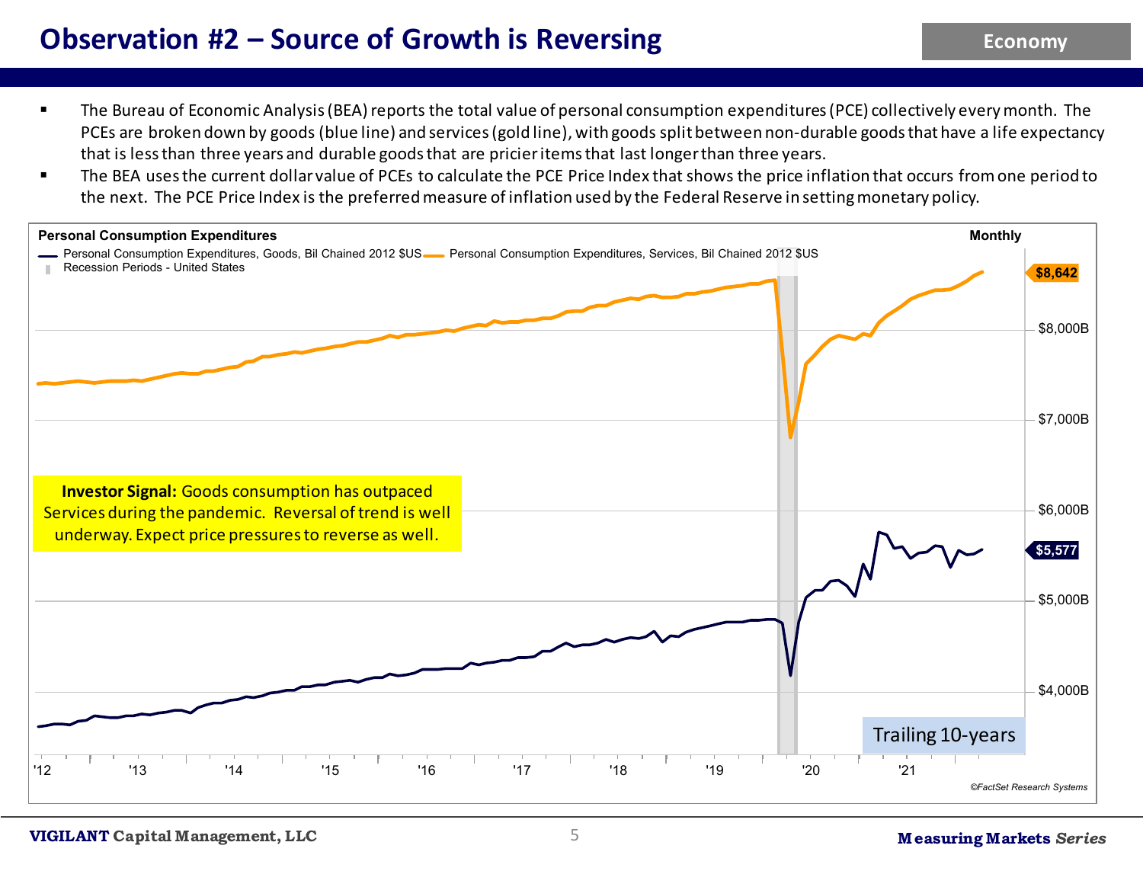## **Observation #2 – Source of Growth is Reversing**

- The Bureau of Economic Analysis (BEA) reports the total value of personal consumption expenditures (PCE) collectively every month. The PCEs are broken down by goods (blue line) and services (gold line), with goods split between non-durable goods that have a life expectancy that is less than three years and durable goods that are pricier items that last longer than three years.
- The BEA uses the current dollar value of PCEs to calculate the PCE Price Index that shows the price inflation that occurs from one period to the next. The PCE Price Index is the preferred measure of inflation used by the Federal Reserve in setting monetary policy.

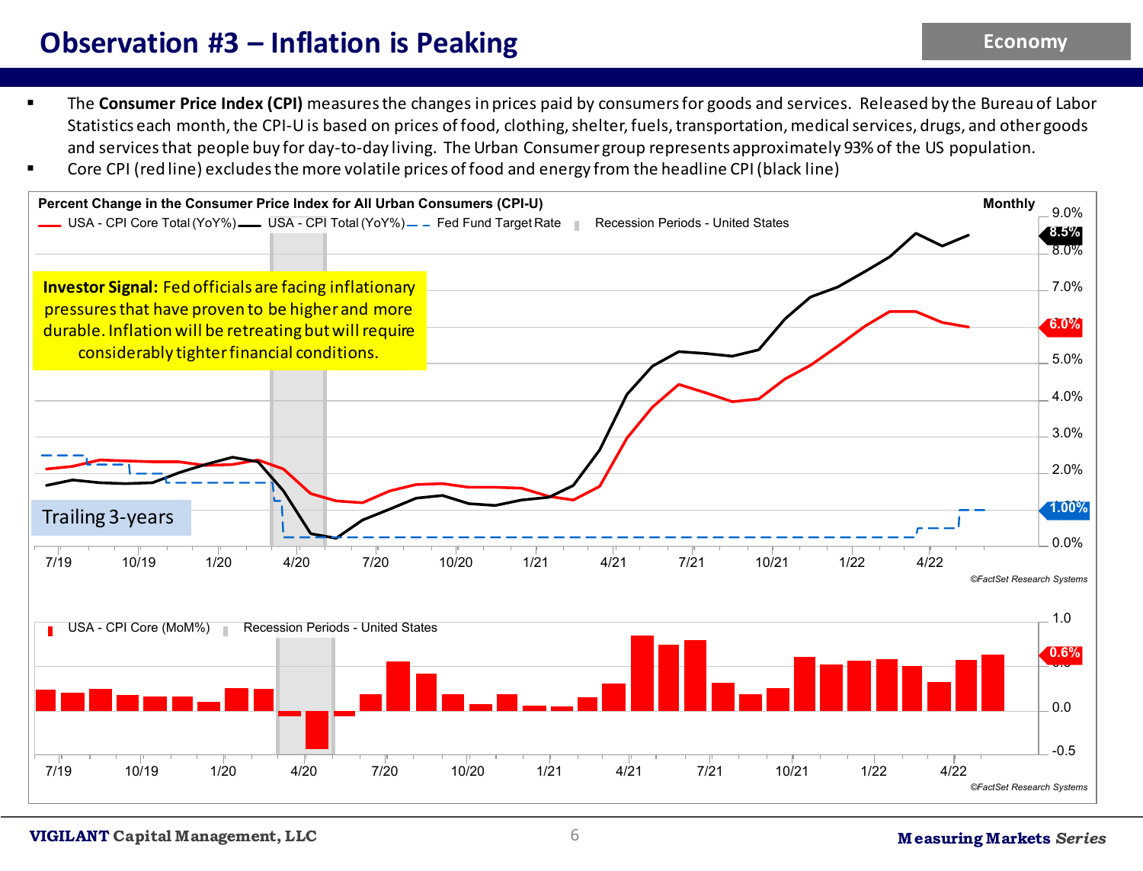#### **Observation #3 – Inflation is Peaking**

- **The Consumer Price Index (CPI)** measures the changes in prices paid by consumers for goods and services. Released by the Bureau of Labor Statistics each month, the CPI-U is based on prices of food, clothing, shelter, fuels, transportation, medical services, drugs, and other goods and services that people buy for day-to-day living. The Urban Consumer group represents approximately 93% of the US population.
- Core CPI (red line) excludes the more volatile prices of food and energy from the headline CPI (black line)

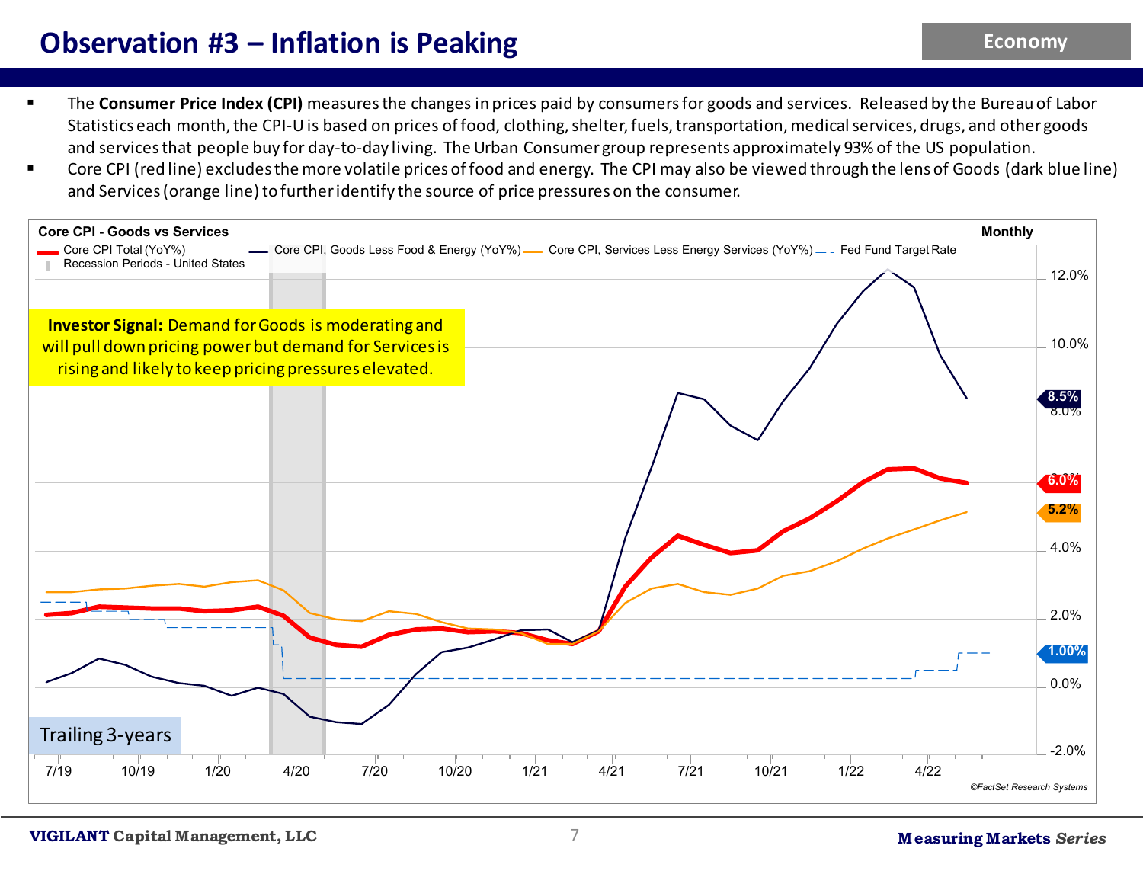### **Observation #3 – Inflation is Peaking**

- **The Consumer Price Index (CPI)** measures the changes in prices paid by consumers for goods and services. Released by the Bureau of Labor Statistics each month, the CPI-U is based on prices of food, clothing, shelter, fuels, transportation, medical services, drugs, and other goods and services that people buy for day-to-day living. The Urban Consumer group represents approximately 93% of the US population.
- Core CPI (red line) excludes the more volatile prices of food and energy. The CPI may also be viewed through the lens of Goods (dark blue line) and Services (orange line) to further identify the source of price pressures on the consumer.

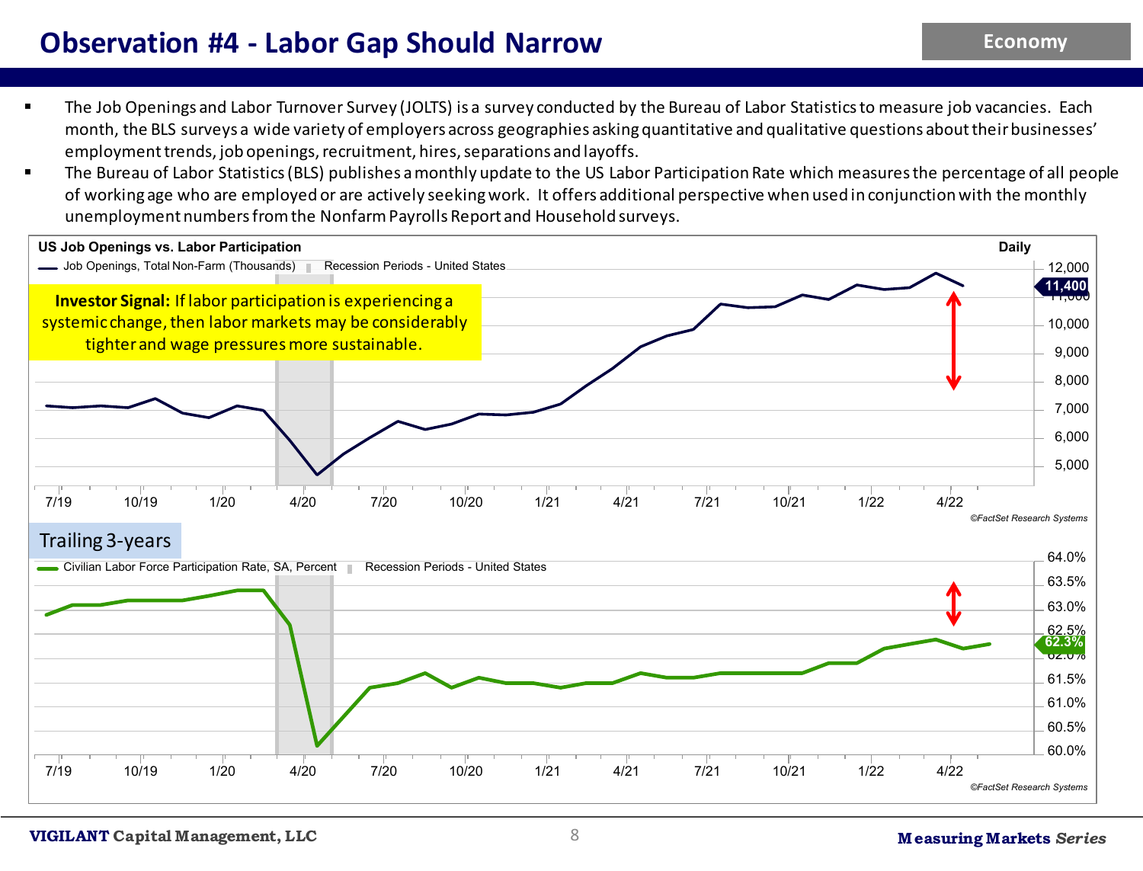### **Observation #4 - Labor Gap Should Narrow**

- The Job Openings and Labor Turnover Survey (JOLTS) is a survey conducted by the Bureau of Labor Statistics to measure job vacancies. Each month, the BLS surveys a wide variety of employers across geographies asking quantitative and qualitative questions about their businesses' employment trends, job openings, recruitment, hires, separations and layoffs.
- The Bureau of Labor Statistics (BLS) publishes a monthly update to the US Labor Participation Rate which measures the percentage of all people of working age who are employed or are actively seeking work. It offers additional perspective when used in conjunction with the monthly unemployment numbers from the Nonfarm Payrolls Report and Household surveys.

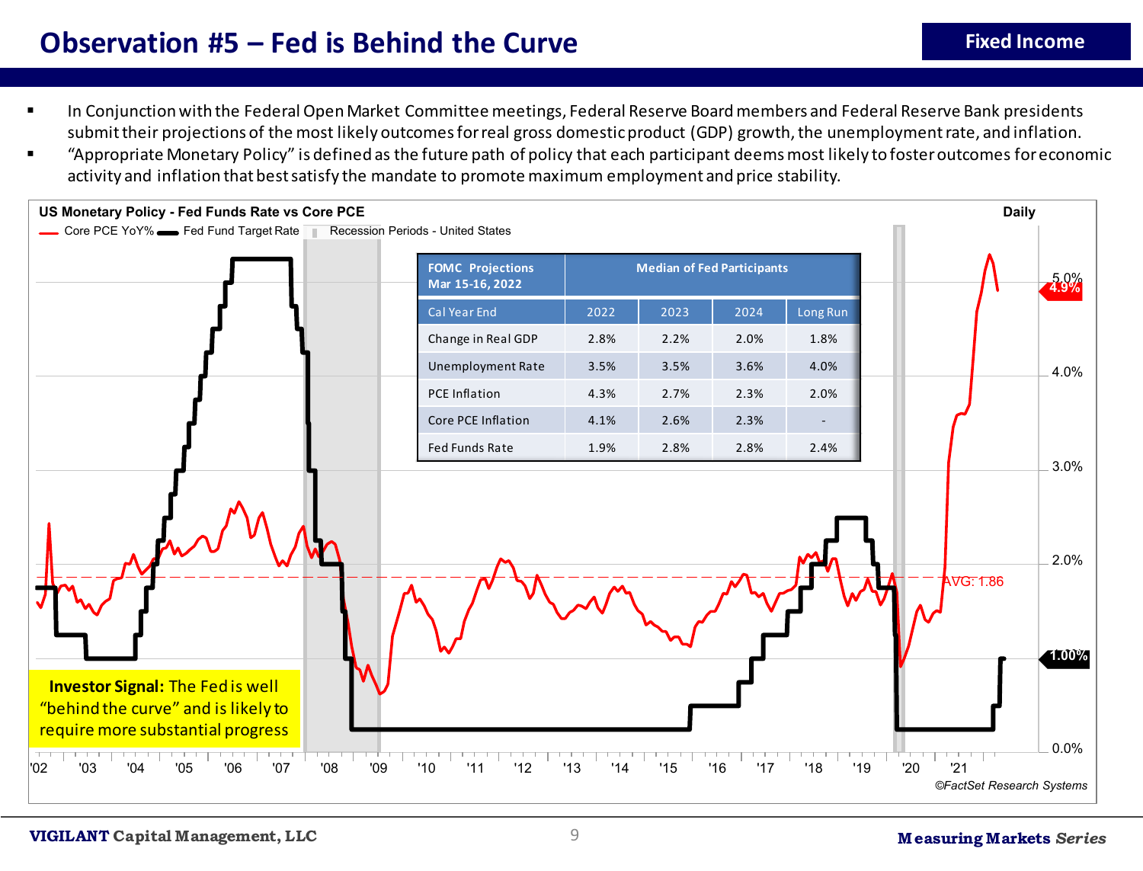#### **Observation #5 – Fed is Behind the Curve**

- **Fixed Income**
- In Conjunction with the Federal Open Market Committee meetings, Federal Reserve Board members and Federal Reserve Bank presidents submit their projections of the most likely outcomes for real gross domestic product (GDP) growth, the unemployment rate, and inflation.
- "Appropriate Monetary Policy" is defined as the future path of policy that each participant deems most likely to foster outcomes for economic activity and inflation that best satisfy the mandate to promote maximum employment and price stability.

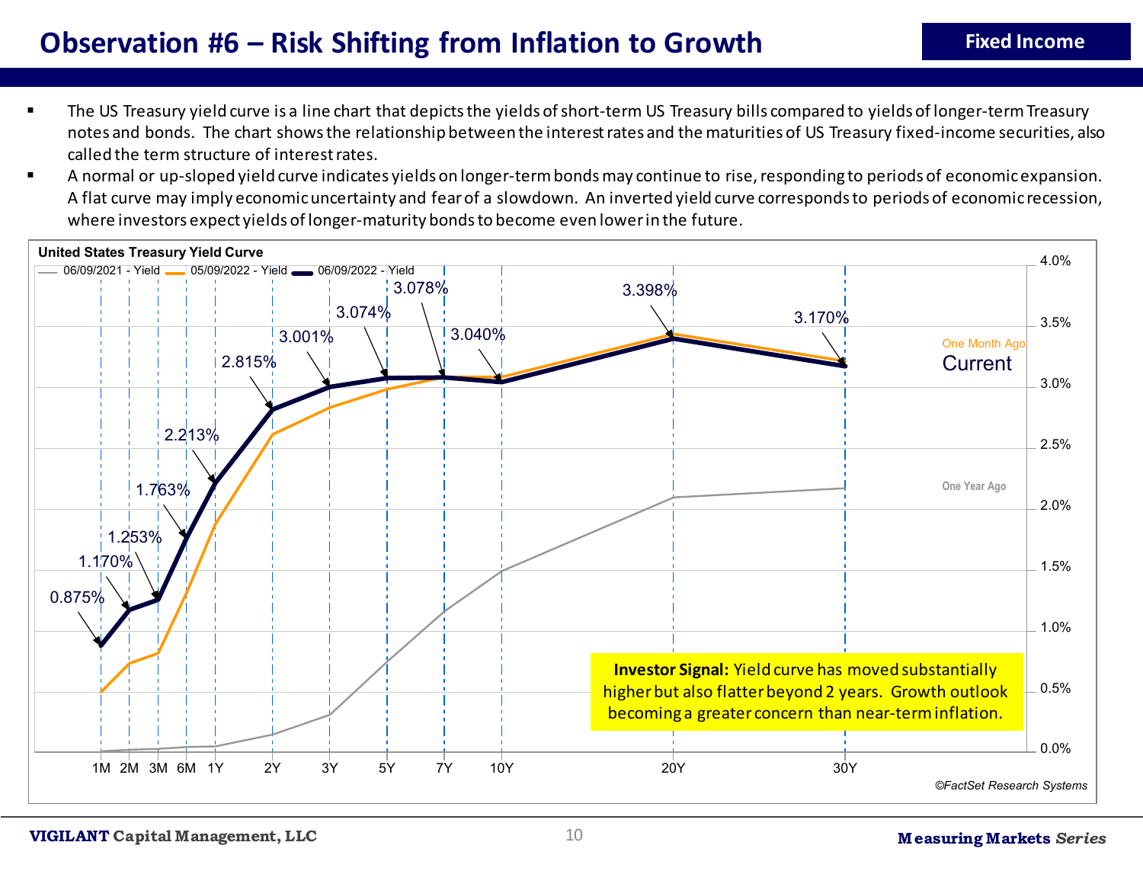- The US Treasury yield curve is a line chart that depicts the yields of short-term US Treasury bills compared to yields of longer-term Treasury notes and bonds. The chart shows the relationship between the interest rates and the maturities of US Treasury fixed-income securities, also called the term structure of interest rates.
- A normal or up-sloped yield curve indicates yields on longer-term bonds may continue to rise, responding to periods of economic expansion. A flat curve may imply economic uncertainty and fear of a slowdown. An inverted yield curve corresponds to periods of economic recession, where investors expect yields of longer-maturity bonds to become even lower in the future.

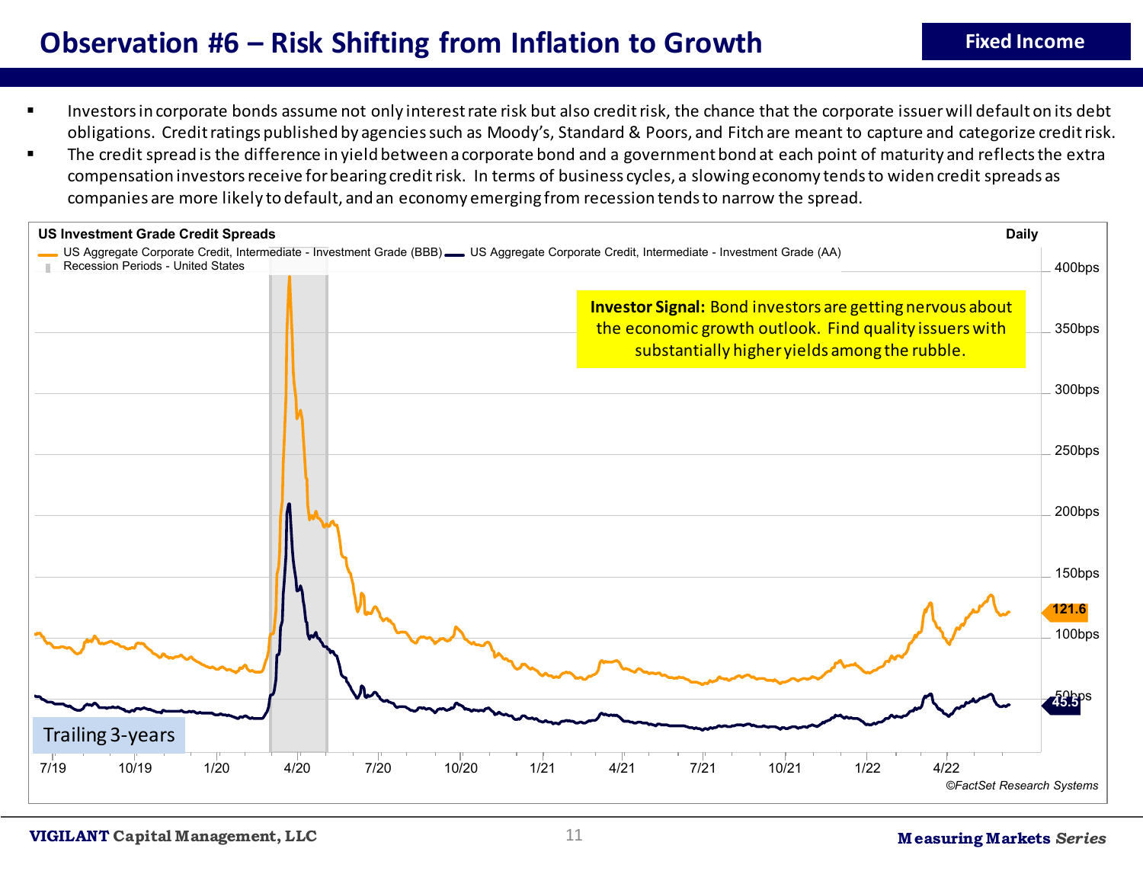## **Observation #6 – Risk Shifting from Inflation to Growth**

- Investors in corporate bonds assume not only interest rate risk but also credit risk, the chance that the corporate issuer will default on its debt obligations. Credit ratings published by agencies such as Moody's, Standard & Poors, and Fitch are meant to capture and categorize credit risk.
- The credit spread is the difference in yield between a corporate bond and a government bond at each point of maturity and reflects the extra compensation investors receive for bearing credit risk. In terms of business cycles, a slowing economy tends to widen credit spreads as companies are more likely to default, and an economy emerging from recession tends to narrow the spread.

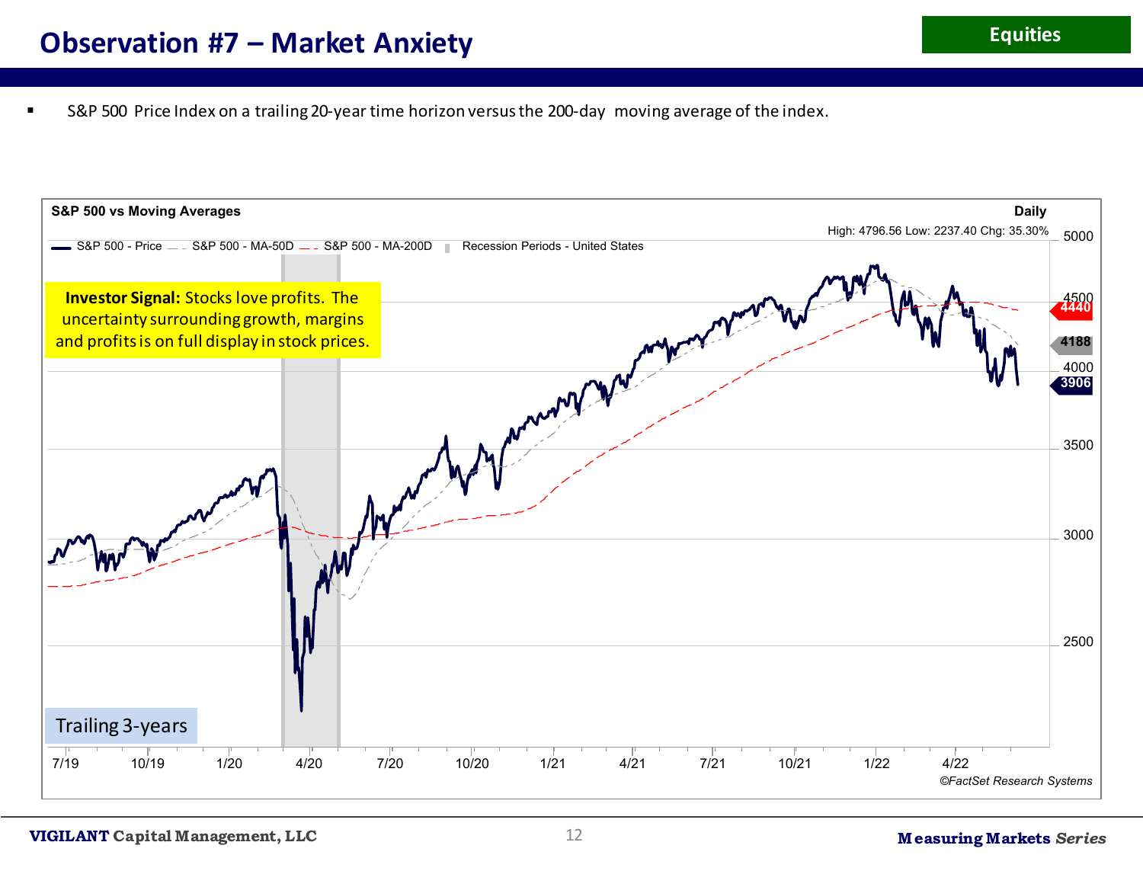S&P 500 Price Index on a trailing 20-year time horizon versus the 200-day moving average of the index.

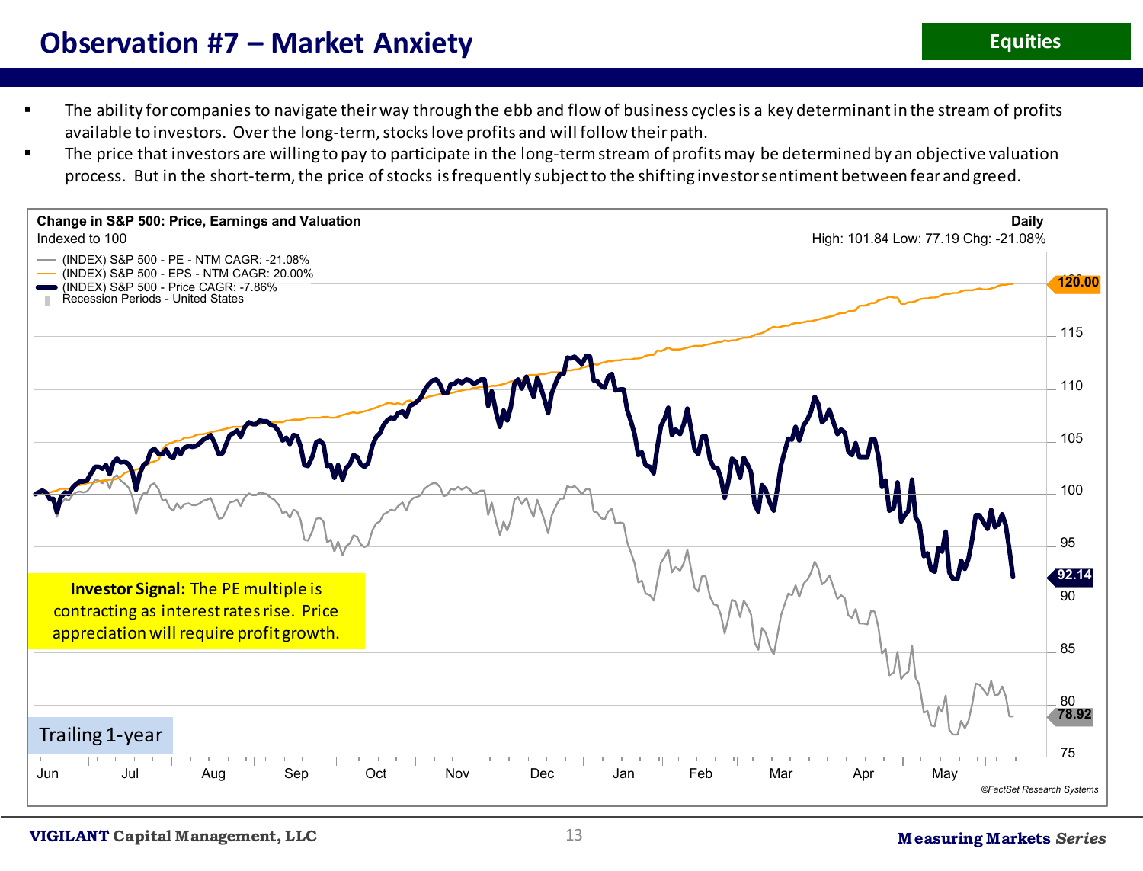#### **Observation #7 – Market Anxiety**

- The ability for companies to navigate their way through the ebb and flow of business cycles is a key determinant in the stream of profits available to investors. Over the long-term, stocks love profits and will follow their path.
- The price that investors are willing to pay to participate in the long-term stream of profits may be determined by an objective valuation process. But in the short-term, the price of stocks is frequently subject to the shifting investor sentiment between fear and greed.

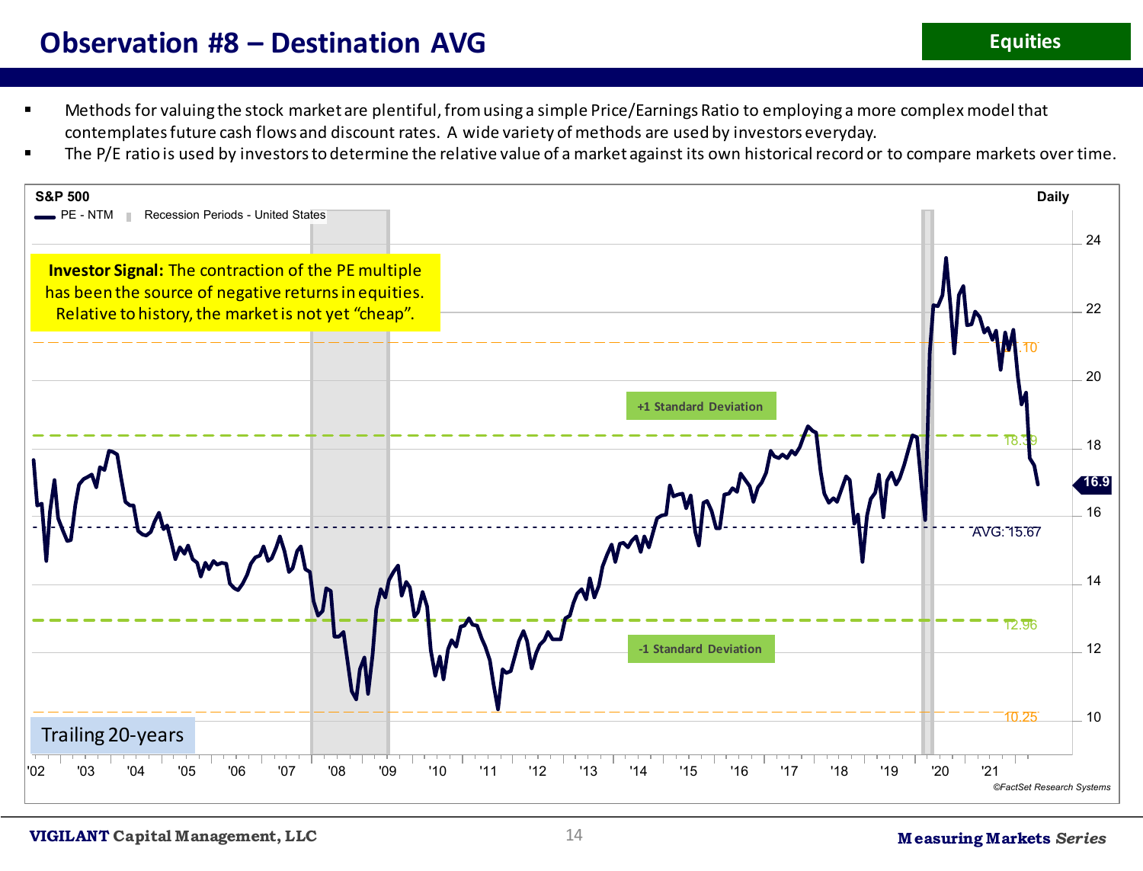- Methods for valuing the stock market are plentiful, from using a simple Price/Earnings Ratio to employing a more complex model that contemplates future cash flows and discount rates. A wide variety of methods are used by investors everyday.
- The P/E ratio is used by investors to determine the relative value of a market against its own historical record or to compare markets over time.

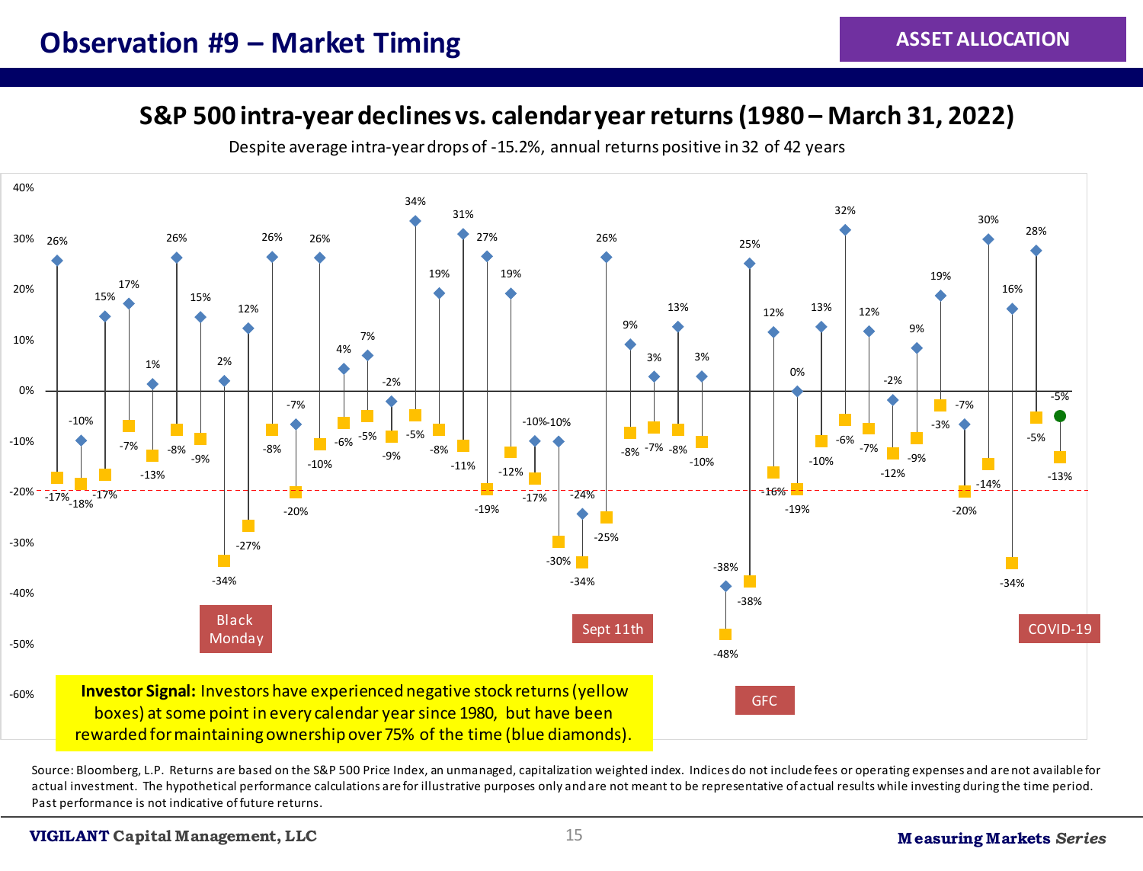**S&P 500 intra-year declines vs. calendar year returns (1980 – March 31, 2022)**

Despite average intra-year drops of -15.2%, annual returns positive in 32 of 42 years



Source: Bloomberg, L.P. Returns are based on the S&P 500 Price Index, an unmanaged, capitalization weighted index. Indices do not include fees or operating expenses and are not available for actual investment. The hypothetical performance calculations are for illustrative purposes only and are not meant to be representative of actual results while investing during the time period. Past performance is not indicative of future returns.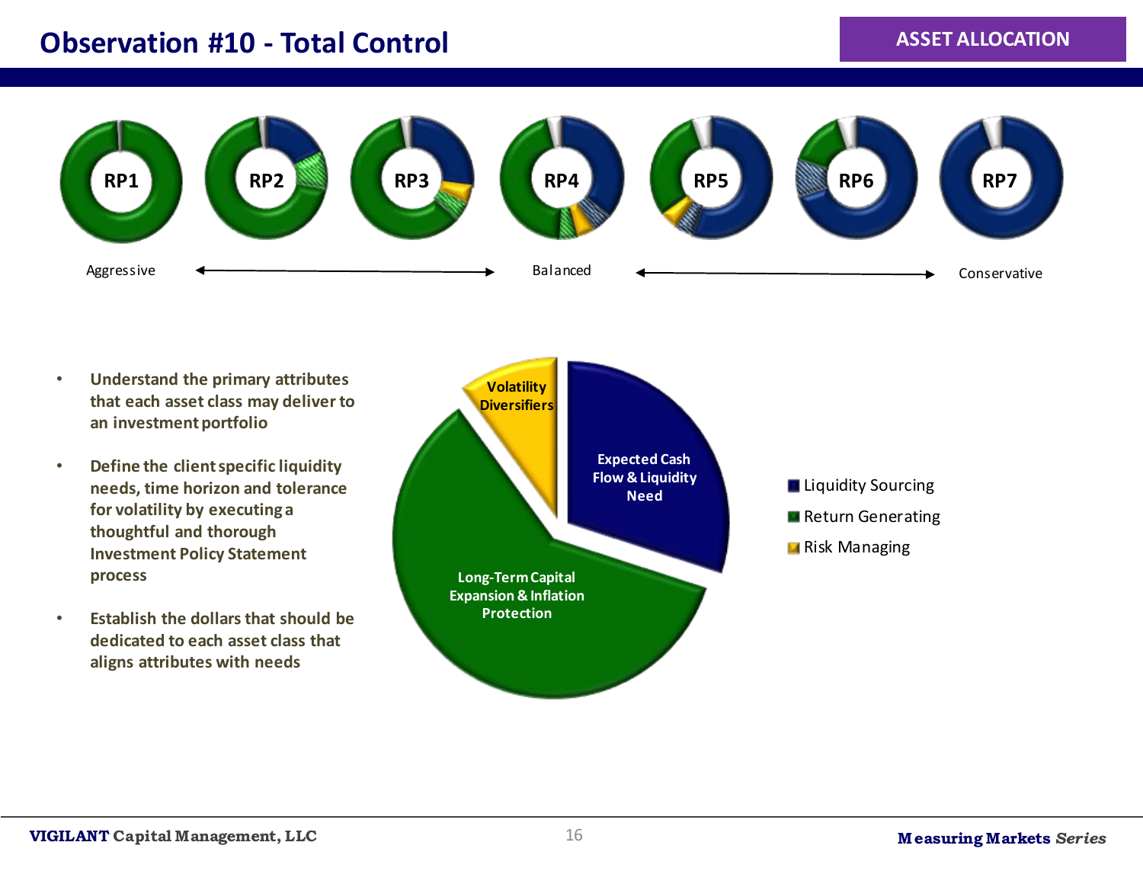#### **Observation #10 - Total Control**

#### **ASSET ALLOCATION**



- **Understand the primary attributes that each asset class may deliver to an investment portfolio**
- **Define the client specific liquidity needs, time horizon and tolerance for volatility by executing a thoughtful and thorough Investment Policy Statement process**
- **Establish the dollars that should be dedicated to each asset class that aligns attributes with needs**

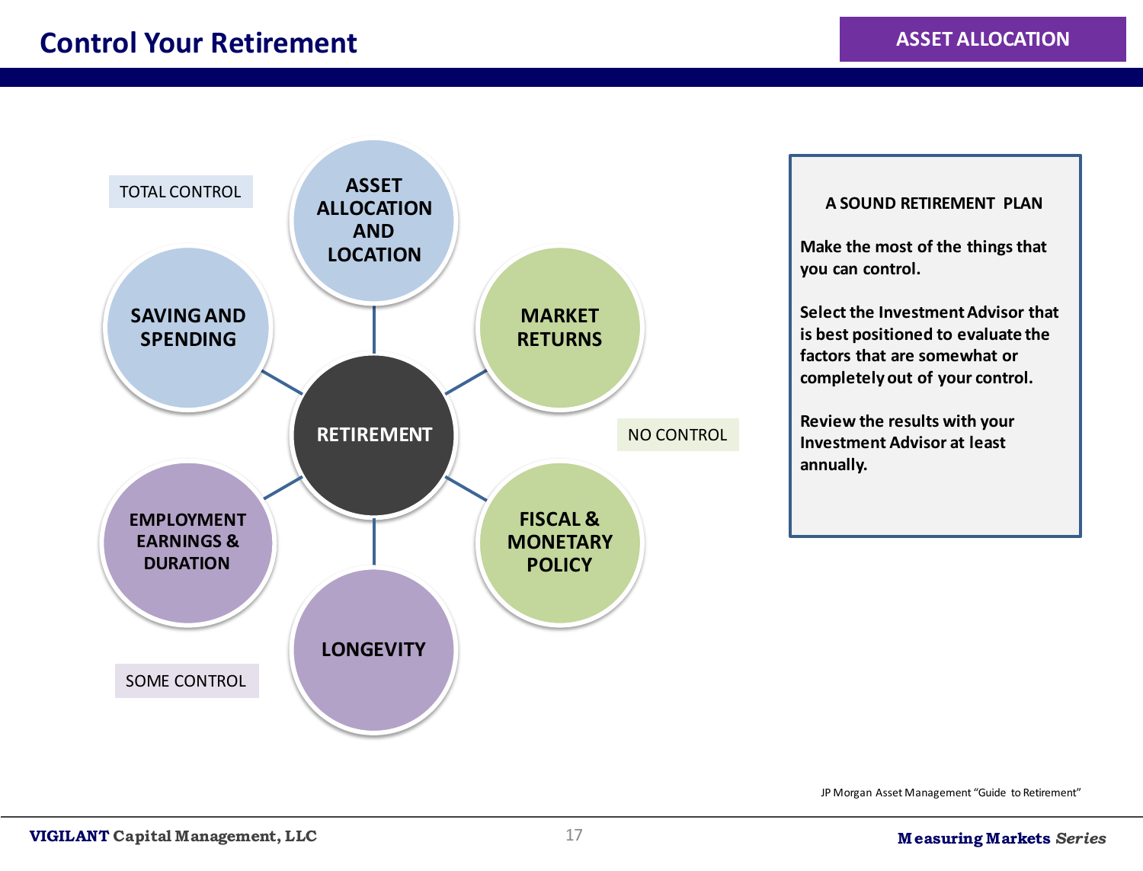

#### **A SOUND RETIREMENT PLAN**

**Make the most of the things that you can control.** 

**Select the Investment Advisor that is best positioned to evaluate the factors that are somewhat or completely out of your control.**

**Review the results with your Investment Advisor at least annually.**

JP Morgan Asset Management "Guide to Retirement"